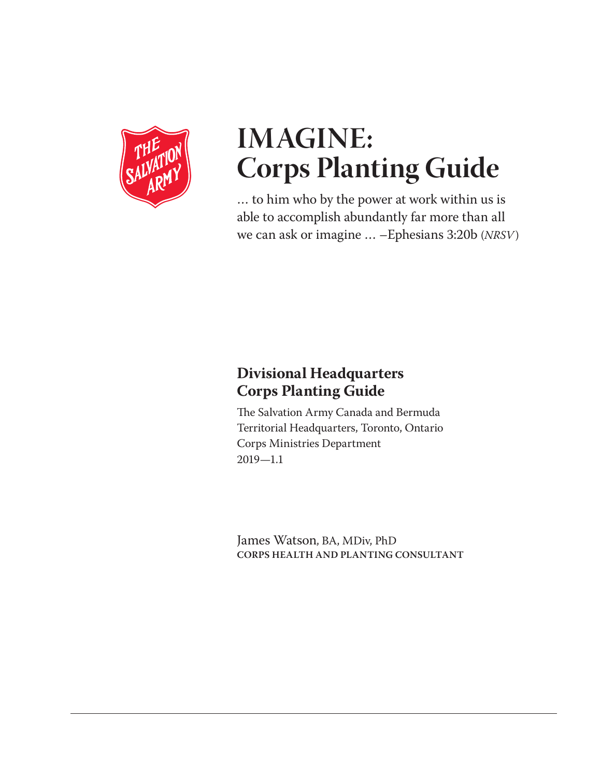

# **IMAGINE: Corps Planting Guide**

… to him who by the power at work within us is able to accomplish abundantly far more than all we can ask or imagine … –Ephesians 3:20b (*NRSV*)

# **Divisional Headquarters Corps Planting Guide**

The Salvation Army Canada and Bermuda Territorial Headquarters, Toronto, Ontario Corps Ministries Department 2019—1.1

James Watson, BA, MDiv, PhD **CORPS HEALTH AND PLANTING CONSULTANT**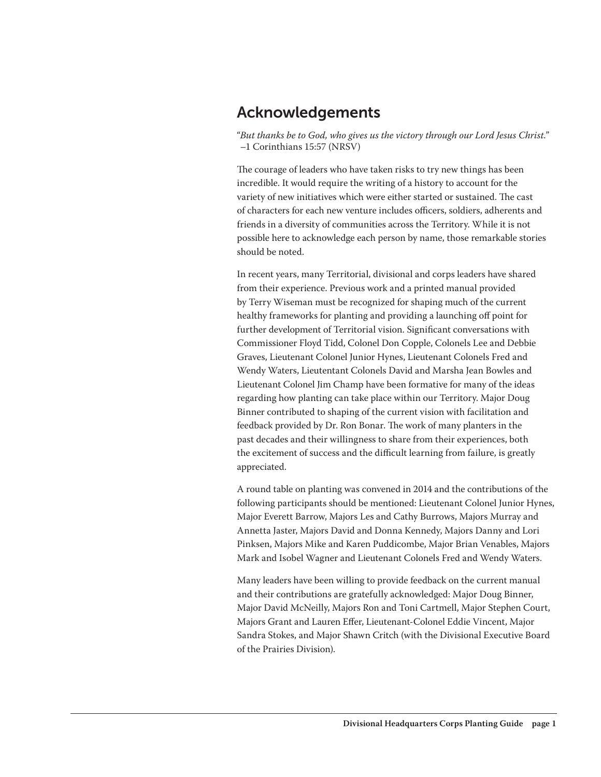### Acknowledgements

"*But thanks be to God, who gives us the victory through our Lord Jesus Christ.*" –1 Corinthians 15:57 (NRSV)

The courage of leaders who have taken risks to try new things has been incredible. It would require the writing of a history to account for the variety of new initiatives which were either started or sustained. The cast of characters for each new venture includes officers, soldiers, adherents and friends in a diversity of communities across the Territory. While it is not possible here to acknowledge each person by name, those remarkable stories should be noted.

In recent years, many Territorial, divisional and corps leaders have shared from their experience. Previous work and a printed manual provided by Terry Wiseman must be recognized for shaping much of the current healthy frameworks for planting and providing a launching off point for further development of Territorial vision. Significant conversations with Commissioner Floyd Tidd, Colonel Don Copple, Colonels Lee and Debbie Graves, Lieutenant Colonel Junior Hynes, Lieutenant Colonels Fred and Wendy Waters, Lieutentant Colonels David and Marsha Jean Bowles and Lieutenant Colonel Jim Champ have been formative for many of the ideas regarding how planting can take place within our Territory. Major Doug Binner contributed to shaping of the current vision with facilitation and feedback provided by Dr. Ron Bonar. The work of many planters in the past decades and their willingness to share from their experiences, both the excitement of success and the difficult learning from failure, is greatly appreciated.

A round table on planting was convened in 2014 and the contributions of the following participants should be mentioned: Lieutenant Colonel Junior Hynes, Major Everett Barrow, Majors Les and Cathy Burrows, Majors Murray and Annetta Jaster, Majors David and Donna Kennedy, Majors Danny and Lori Pinksen, Majors Mike and Karen Puddicombe, Major Brian Venables, Majors Mark and Isobel Wagner and Lieutenant Colonels Fred and Wendy Waters.

Many leaders have been willing to provide feedback on the current manual and their contributions are gratefully acknowledged: Major Doug Binner, Major David McNeilly, Majors Ron and Toni Cartmell, Major Stephen Court, Majors Grant and Lauren Effer, Lieutenant-Colonel Eddie Vincent, Major Sandra Stokes, and Major Shawn Critch (with the Divisional Executive Board of the Prairies Division).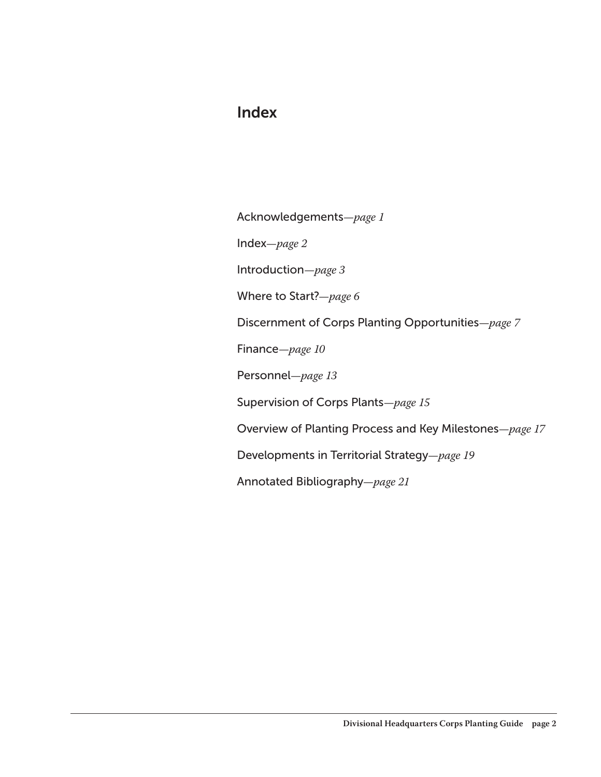### Index

Acknowledgements*—page 1*

Index*—page 2*

Introduction*—page 3*

Where to Start?*—page 6*

Discernment of Corps Planting Opportunities*—page 7*

Finance*—page 10*

Personnel*—page 13*

Supervision of Corps Plants*—page 15*

Overview of Planting Process and Key Milestones*—page 17*

Developments in Territorial Strategy*—page 19*

Annotated Bibliography*—page 21*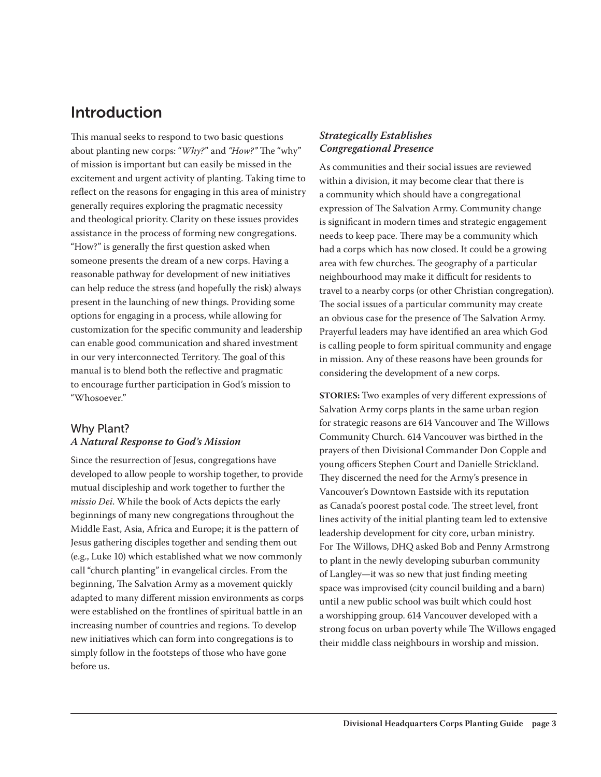# Introduction

This manual seeks to respond to two basic questions about planting new corps: "*Why?*" and *"How?"* The "why" of mission is important but can easily be missed in the excitement and urgent activity of planting. Taking time to reflect on the reasons for engaging in this area of ministry generally requires exploring the pragmatic necessity and theological priority. Clarity on these issues provides assistance in the process of forming new congregations. "How?" is generally the first question asked when someone presents the dream of a new corps. Having a reasonable pathway for development of new initiatives can help reduce the stress (and hopefully the risk) always present in the launching of new things. Providing some options for engaging in a process, while allowing for customization for the specific community and leadership can enable good communication and shared investment in our very interconnected Territory. The goal of this manual is to blend both the reflective and pragmatic to encourage further participation in God's mission to "Whosoever."

#### Why Plant? *A Natural Response to God's Mission*

Since the resurrection of Jesus, congregations have developed to allow people to worship together, to provide mutual discipleship and work together to further the *missio Dei*. While the book of Acts depicts the early beginnings of many new congregations throughout the Middle East, Asia, Africa and Europe; it is the pattern of Jesus gathering disciples together and sending them out (e.g., Luke 10) which established what we now commonly call "church planting" in evangelical circles. From the beginning, The Salvation Army as a movement quickly adapted to many different mission environments as corps were established on the frontlines of spiritual battle in an increasing number of countries and regions. To develop new initiatives which can form into congregations is to simply follow in the footsteps of those who have gone before us.

#### *Strategically Establishes Congregational Presence*

As communities and their social issues are reviewed within a division, it may become clear that there is a community which should have a congregational expression of The Salvation Army. Community change is significant in modern times and strategic engagement needs to keep pace. There may be a community which had a corps which has now closed. It could be a growing area with few churches. The geography of a particular neighbourhood may make it difficult for residents to travel to a nearby corps (or other Christian congregation). The social issues of a particular community may create an obvious case for the presence of The Salvation Army. Prayerful leaders may have identified an area which God is calling people to form spiritual community and engage in mission. Any of these reasons have been grounds for considering the development of a new corps.

**STORIES:** Two examples of very different expressions of Salvation Army corps plants in the same urban region for strategic reasons are 614 Vancouver and The Willows Community Church. 614 Vancouver was birthed in the prayers of then Divisional Commander Don Copple and young officers Stephen Court and Danielle Strickland. They discerned the need for the Army's presence in Vancouver's Downtown Eastside with its reputation as Canada's poorest postal code. The street level, front lines activity of the initial planting team led to extensive leadership development for city core, urban ministry. For The Willows, DHQ asked Bob and Penny Armstrong to plant in the newly developing suburban community of Langley—it was so new that just finding meeting space was improvised (city council building and a barn) until a new public school was built which could host a worshipping group. 614 Vancouver developed with a strong focus on urban poverty while The Willows engaged their middle class neighbours in worship and mission.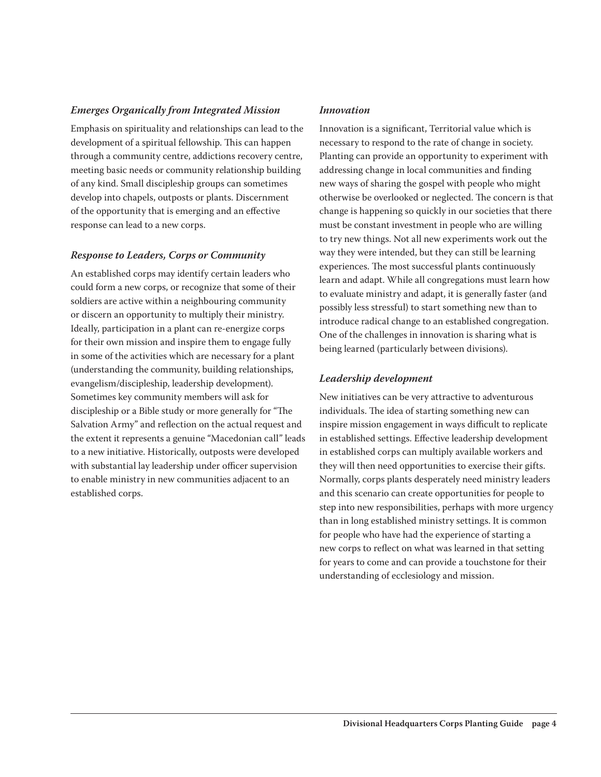#### *Emerges Organically from Integrated Mission*

Emphasis on spirituality and relationships can lead to the development of a spiritual fellowship. This can happen through a community centre, addictions recovery centre, meeting basic needs or community relationship building of any kind. Small discipleship groups can sometimes develop into chapels, outposts or plants. Discernment of the opportunity that is emerging and an effective response can lead to a new corps.

#### *Response to Leaders, Corps or Community*

An established corps may identify certain leaders who could form a new corps, or recognize that some of their soldiers are active within a neighbouring community or discern an opportunity to multiply their ministry. Ideally, participation in a plant can re-energize corps for their own mission and inspire them to engage fully in some of the activities which are necessary for a plant (understanding the community, building relationships, evangelism/discipleship, leadership development). Sometimes key community members will ask for discipleship or a Bible study or more generally for "The Salvation Army" and reflection on the actual request and the extent it represents a genuine "Macedonian call" leads to a new initiative. Historically, outposts were developed with substantial lay leadership under officer supervision to enable ministry in new communities adjacent to an established corps.

#### *Innovation*

Innovation is a significant, Territorial value which is necessary to respond to the rate of change in society. Planting can provide an opportunity to experiment with addressing change in local communities and finding new ways of sharing the gospel with people who might otherwise be overlooked or neglected. The concern is that change is happening so quickly in our societies that there must be constant investment in people who are willing to try new things. Not all new experiments work out the way they were intended, but they can still be learning experiences. The most successful plants continuously learn and adapt. While all congregations must learn how to evaluate ministry and adapt, it is generally faster (and possibly less stressful) to start something new than to introduce radical change to an established congregation. One of the challenges in innovation is sharing what is being learned (particularly between divisions).

#### *Leadership development*

New initiatives can be very attractive to adventurous individuals. The idea of starting something new can inspire mission engagement in ways difficult to replicate in established settings. Effective leadership development in established corps can multiply available workers and they will then need opportunities to exercise their gifts. Normally, corps plants desperately need ministry leaders and this scenario can create opportunities for people to step into new responsibilities, perhaps with more urgency than in long established ministry settings. It is common for people who have had the experience of starting a new corps to reflect on what was learned in that setting for years to come and can provide a touchstone for their understanding of ecclesiology and mission.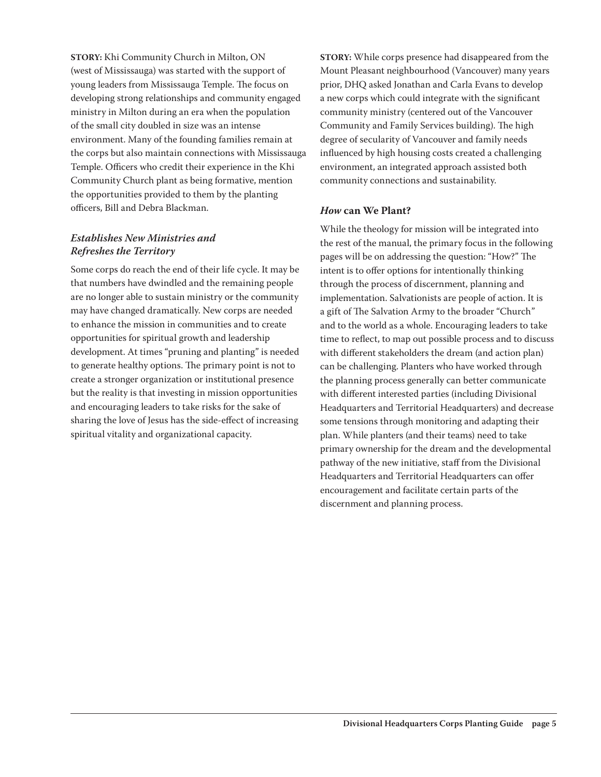**STORY:** Khi Community Church in Milton, ON (west of Mississauga) was started with the support of young leaders from Mississauga Temple. The focus on developing strong relationships and community engaged ministry in Milton during an era when the population of the small city doubled in size was an intense environment. Many of the founding families remain at the corps but also maintain connections with Mississauga Temple. Officers who credit their experience in the Khi Community Church plant as being formative, mention the opportunities provided to them by the planting officers, Bill and Debra Blackman.

#### *Establishes New Ministries and Refreshes the Territory*

Some corps do reach the end of their life cycle. It may be that numbers have dwindled and the remaining people are no longer able to sustain ministry or the community may have changed dramatically. New corps are needed to enhance the mission in communities and to create opportunities for spiritual growth and leadership development. At times "pruning and planting" is needed to generate healthy options. The primary point is not to create a stronger organization or institutional presence but the reality is that investing in mission opportunities and encouraging leaders to take risks for the sake of sharing the love of Jesus has the side-effect of increasing spiritual vitality and organizational capacity.

**STORY:** While corps presence had disappeared from the Mount Pleasant neighbourhood (Vancouver) many years prior, DHQ asked Jonathan and Carla Evans to develop a new corps which could integrate with the significant community ministry (centered out of the Vancouver Community and Family Services building). The high degree of secularity of Vancouver and family needs influenced by high housing costs created a challenging environment, an integrated approach assisted both community connections and sustainability.

#### *How* **can We Plant?**

While the theology for mission will be integrated into the rest of the manual, the primary focus in the following pages will be on addressing the question: "How?" The intent is to offer options for intentionally thinking through the process of discernment, planning and implementation. Salvationists are people of action. It is a gift of The Salvation Army to the broader "Church" and to the world as a whole. Encouraging leaders to take time to reflect, to map out possible process and to discuss with different stakeholders the dream (and action plan) can be challenging. Planters who have worked through the planning process generally can better communicate with different interested parties (including Divisional Headquarters and Territorial Headquarters) and decrease some tensions through monitoring and adapting their plan. While planters (and their teams) need to take primary ownership for the dream and the developmental pathway of the new initiative, staff from the Divisional Headquarters and Territorial Headquarters can offer encouragement and facilitate certain parts of the discernment and planning process.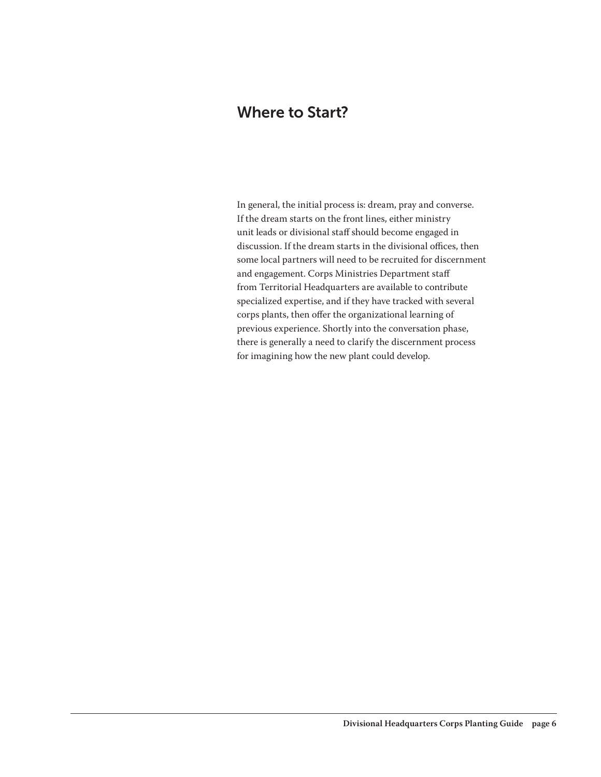### Where to Start?

In general, the initial process is: dream, pray and converse. If the dream starts on the front lines, either ministry unit leads or divisional staff should become engaged in discussion. If the dream starts in the divisional offices, then some local partners will need to be recruited for discernment and engagement. Corps Ministries Department staff from Territorial Headquarters are available to contribute specialized expertise, and if they have tracked with several corps plants, then offer the organizational learning of previous experience. Shortly into the conversation phase, there is generally a need to clarify the discernment process for imagining how the new plant could develop.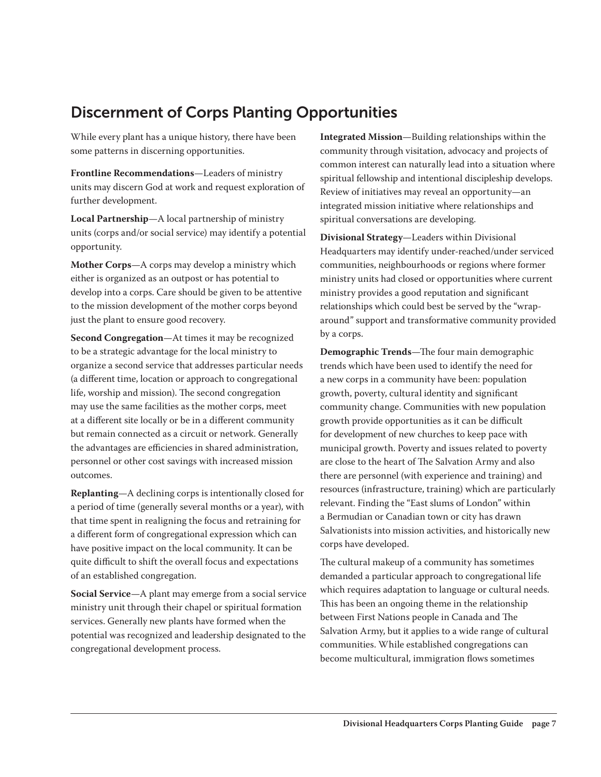# Discernment of Corps Planting Opportunities

While every plant has a unique history, there have been some patterns in discerning opportunities.

**Frontline Recommendations**—Leaders of ministry units may discern God at work and request exploration of further development.

**Local Partnership**—A local partnership of ministry units (corps and/or social service) may identify a potential opportunity.

**Mother Corps**—A corps may develop a ministry which either is organized as an outpost or has potential to develop into a corps. Care should be given to be attentive to the mission development of the mother corps beyond just the plant to ensure good recovery.

**Second Congregation**—At times it may be recognized to be a strategic advantage for the local ministry to organize a second service that addresses particular needs (a different time, location or approach to congregational life, worship and mission). The second congregation may use the same facilities as the mother corps, meet at a different site locally or be in a different community but remain connected as a circuit or network. Generally the advantages are efficiencies in shared administration, personnel or other cost savings with increased mission outcomes.

**Replanting**—A declining corps is intentionally closed for a period of time (generally several months or a year), with that time spent in realigning the focus and retraining for a different form of congregational expression which can have positive impact on the local community. It can be quite difficult to shift the overall focus and expectations of an established congregation.

**Social Service**—A plant may emerge from a social service ministry unit through their chapel or spiritual formation services. Generally new plants have formed when the potential was recognized and leadership designated to the congregational development process.

**Integrated Mission**—Building relationships within the community through visitation, advocacy and projects of common interest can naturally lead into a situation where spiritual fellowship and intentional discipleship develops. Review of initiatives may reveal an opportunity—an integrated mission initiative where relationships and spiritual conversations are developing.

**Divisional Strategy**—Leaders within Divisional Headquarters may identify under-reached/under serviced communities, neighbourhoods or regions where former ministry units had closed or opportunities where current ministry provides a good reputation and significant relationships which could best be served by the "wraparound" support and transformative community provided by a corps.

**Demographic Trends**—The four main demographic trends which have been used to identify the need for a new corps in a community have been: population growth, poverty, cultural identity and significant community change. Communities with new population growth provide opportunities as it can be difficult for development of new churches to keep pace with municipal growth. Poverty and issues related to poverty are close to the heart of The Salvation Army and also there are personnel (with experience and training) and resources (infrastructure, training) which are particularly relevant. Finding the "East slums of London" within a Bermudian or Canadian town or city has drawn Salvationists into mission activities, and historically new corps have developed.

The cultural makeup of a community has sometimes demanded a particular approach to congregational life which requires adaptation to language or cultural needs. This has been an ongoing theme in the relationship between First Nations people in Canada and The Salvation Army, but it applies to a wide range of cultural communities. While established congregations can become multicultural, immigration flows sometimes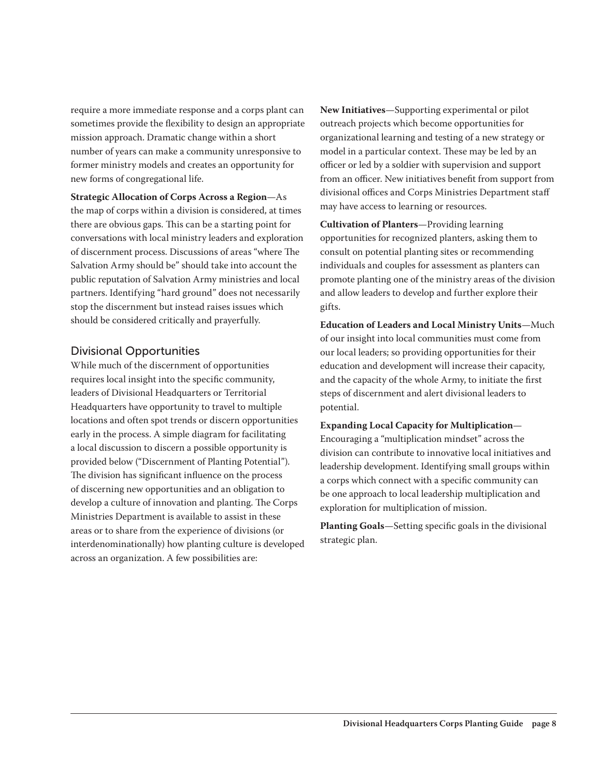require a more immediate response and a corps plant can sometimes provide the flexibility to design an appropriate mission approach. Dramatic change within a short number of years can make a community unresponsive to former ministry models and creates an opportunity for new forms of congregational life.

**Strategic Allocation of Corps Across a Region**—As the map of corps within a division is considered, at times there are obvious gaps. This can be a starting point for conversations with local ministry leaders and exploration of discernment process. Discussions of areas "where The Salvation Army should be" should take into account the public reputation of Salvation Army ministries and local partners. Identifying "hard ground" does not necessarily stop the discernment but instead raises issues which should be considered critically and prayerfully.

#### Divisional Opportunities

While much of the discernment of opportunities requires local insight into the specific community, leaders of Divisional Headquarters or Territorial Headquarters have opportunity to travel to multiple locations and often spot trends or discern opportunities early in the process. A simple diagram for facilitating a local discussion to discern a possible opportunity is provided below ("Discernment of Planting Potential"). The division has significant influence on the process of discerning new opportunities and an obligation to develop a culture of innovation and planting. The Corps Ministries Department is available to assist in these areas or to share from the experience of divisions (or interdenominationally) how planting culture is developed across an organization. A few possibilities are:

**New Initiatives**—Supporting experimental or pilot outreach projects which become opportunities for organizational learning and testing of a new strategy or model in a particular context. These may be led by an officer or led by a soldier with supervision and support from an officer. New initiatives benefit from support from divisional offices and Corps Ministries Department staff may have access to learning or resources.

**Cultivation of Planters**—Providing learning opportunities for recognized planters, asking them to consult on potential planting sites or recommending individuals and couples for assessment as planters can promote planting one of the ministry areas of the division and allow leaders to develop and further explore their gifts.

**Education of Leaders and Local Ministry Units**—Much of our insight into local communities must come from our local leaders; so providing opportunities for their education and development will increase their capacity, and the capacity of the whole Army, to initiate the first steps of discernment and alert divisional leaders to potential.

#### **Expanding Local Capacity for Multiplication**—

Encouraging a "multiplication mindset" across the division can contribute to innovative local initiatives and leadership development. Identifying small groups within a corps which connect with a specific community can be one approach to local leadership multiplication and exploration for multiplication of mission.

**Planting Goals**—Setting specific goals in the divisional strategic plan.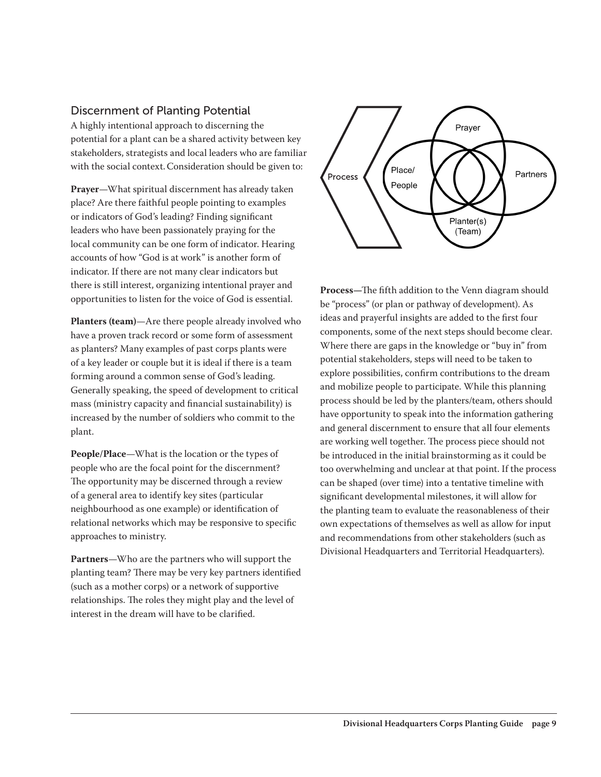#### Discernment of Planting Potential

A highly intentional approach to discerning the potential for a plant can be a shared activity between key stakeholders, strategists and local leaders who are familiar with the social context.Consideration should be given to:

**Prayer**—What spiritual discernment has already taken place? Are there faithful people pointing to examples or indicators of God's leading? Finding significant leaders who have been passionately praying for the local community can be one form of indicator. Hearing accounts of how "God is at work" is another form of indicator. If there are not many clear indicators but there is still interest, organizing intentional prayer and opportunities to listen for the voice of God is essential.

**Planters (team)**—Are there people already involved who have a proven track record or some form of assessment as planters? Many examples of past corps plants were of a key leader or couple but it is ideal if there is a team forming around a common sense of God's leading. Generally speaking, the speed of development to critical mass (ministry capacity and financial sustainability) is increased by the number of soldiers who commit to the plant.

**People/Place**—What is the location or the types of people who are the focal point for the discernment? The opportunity may be discerned through a review of a general area to identify key sites (particular neighbourhood as one example) or identification of relational networks which may be responsive to specific approaches to ministry.

**Partners**—Who are the partners who will support the planting team? There may be very key partners identified (such as a mother corps) or a network of supportive relationships. The roles they might play and the level of interest in the dream will have to be clarified.



**Process—**The fifth addition to the Venn diagram should be "process" (or plan or pathway of development). As ideas and prayerful insights are added to the first four components, some of the next steps should become clear. Where there are gaps in the knowledge or "buy in" from potential stakeholders, steps will need to be taken to explore possibilities, confirm contributions to the dream and mobilize people to participate. While this planning process should be led by the planters/team, others should have opportunity to speak into the information gathering and general discernment to ensure that all four elements are working well together. The process piece should not be introduced in the initial brainstorming as it could be too overwhelming and unclear at that point. If the process can be shaped (over time) into a tentative timeline with significant developmental milestones, it will allow for the planting team to evaluate the reasonableness of their own expectations of themselves as well as allow for input and recommendations from other stakeholders (such as Divisional Headquarters and Territorial Headquarters).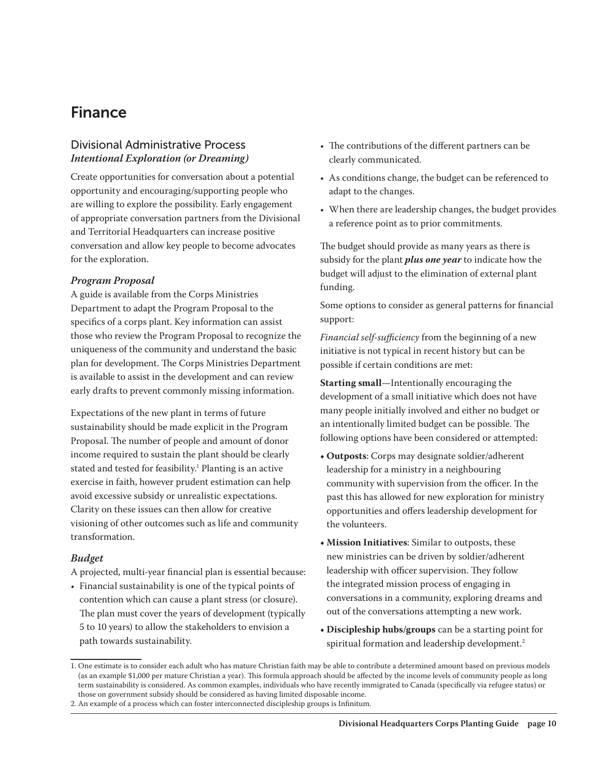### Finance

#### Divisional Administrative Process *Intentional Exploration (or Dreaming)*

Create opportunities for conversation about a potential opportunity and encouraging/supporting people who are willing to explore the possibility. Early engagement of appropriate conversation partners from the Divisional and Territorial Headquarters can increase positive conversation and allow key people to become advocates for the exploration.

#### *Program Proposal*

A guide is available from the Corps Ministries Department to adapt the Program Proposal to the specifics of a corps plant. Key information can assist those who review the Program Proposal to recognize the uniqueness of the community and understand the basic plan for development. The Corps Ministries Department is available to assist in the development and can review early drafts to prevent commonly missing information.

Expectations of the new plant in terms of future sustainability should be made explicit in the Program Proposal. The number of people and amount of donor income required to sustain the plant should be clearly stated and tested for feasibility.<sup>1</sup> Planting is an active exercise in faith, however prudent estimation can help avoid excessive subsidy or unrealistic expectations. Clarity on these issues can then allow for creative visioning of other outcomes such as life and community transformation.

#### *Budget*

A projected, multi-year financial plan is essential because:

• Financial sustainability is one of the typical points of contention which can cause a plant stress (or closure). The plan must cover the years of development (typically 5 to 10 years) to allow the stakeholders to envision a path towards sustainability.

- The contributions of the different partners can be clearly communicated.
- As conditions change, the budget can be referenced to adapt to the changes.
- When there are leadership changes, the budget provides a reference point as to prior commitments.

The budget should provide as many years as there is subsidy for the plant *plus one year* to indicate how the budget will adjust to the elimination of external plant funding.

Some options to consider as general patterns for financial support:

*Financial self-sufficiency* from the beginning of a new initiative is not typical in recent history but can be possible if certain conditions are met:

**Starting small**—Intentionally encouraging the development of a small initiative which does not have many people initially involved and either no budget or an intentionally limited budget can be possible. The following options have been considered or attempted:

- **Outposts**: Corps may designate soldier/adherent leadership for a ministry in a neighbouring community with supervision from the officer. In the past this has allowed for new exploration for ministry opportunities and offers leadership development for the volunteers.
- **Mission Initiatives**: Similar to outposts, these new ministries can be driven by soldier/adherent leadership with officer supervision. They follow the integrated mission process of engaging in conversations in a community, exploring dreams and out of the conversations attempting a new work.
- **Discipleship hubs/groups** can be a starting point for spiritual formation and leadership development.<sup>2</sup>

<sup>1.</sup> One estimate is to consider each adult who has mature Christian faith may be able to contribute a determined amount based on previous models (as an example \$1,000 per mature Christian a year). This formula approach should be affected by the income levels of community people as long term sustainability is considered. As common examples, individuals who have recently immigrated to Canada (specifically via refugee status) or those on government subsidy should be considered as having limited disposable income.

<sup>2.</sup> An example of a process which can foster interconnected discipleship groups is Infinitum.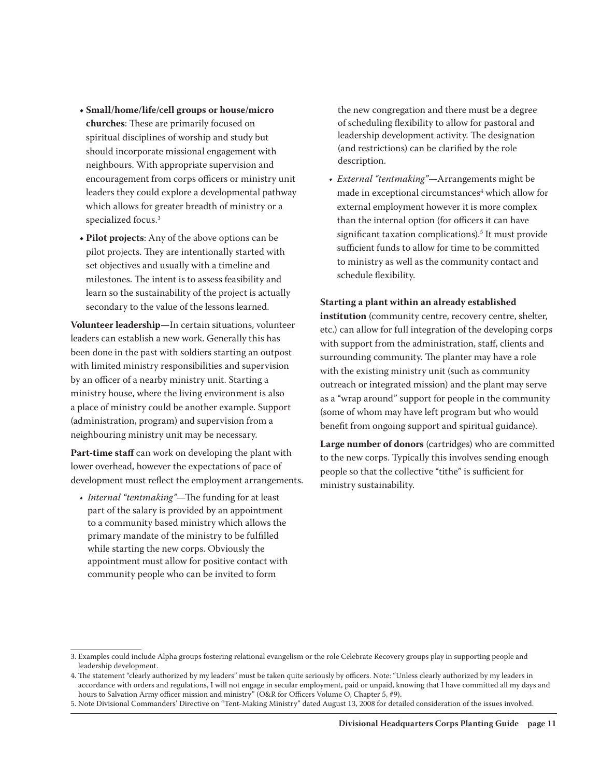- **Small/home/life/cell groups or house/micro churches**: These are primarily focused on spiritual disciplines of worship and study but should incorporate missional engagement with neighbours. With appropriate supervision and encouragement from corps officers or ministry unit leaders they could explore a developmental pathway which allows for greater breadth of ministry or a specialized focus.3
- **Pilot projects**: Any of the above options can be pilot projects. They are intentionally started with set objectives and usually with a timeline and milestones. The intent is to assess feasibility and learn so the sustainability of the project is actually secondary to the value of the lessons learned.

**Volunteer leadership**—In certain situations, volunteer leaders can establish a new work. Generally this has been done in the past with soldiers starting an outpost with limited ministry responsibilities and supervision by an officer of a nearby ministry unit. Starting a ministry house, where the living environment is also a place of ministry could be another example. Support (administration, program) and supervision from a neighbouring ministry unit may be necessary.

**Part-time staff** can work on developing the plant with lower overhead, however the expectations of pace of development must reflect the employment arrangements.

*• Internal "tentmaking"*—The funding for at least part of the salary is provided by an appointment to a community based ministry which allows the primary mandate of the ministry to be fulfilled while starting the new corps. Obviously the appointment must allow for positive contact with community people who can be invited to form

the new congregation and there must be a degree of scheduling flexibility to allow for pastoral and leadership development activity. The designation (and restrictions) can be clarified by the role description.

*• External "tentmaking"*—Arrangements might be made in exceptional circumstances<sup>4</sup> which allow for external employment however it is more complex than the internal option (for officers it can have significant taxation complications).5 It must provide sufficient funds to allow for time to be committed to ministry as well as the community contact and schedule flexibility.

#### **Starting a plant within an already established**

institution (community centre, recovery centre, shelter, etc.) can allow for full integration of the developing corps with support from the administration, staff, clients and surrounding community. The planter may have a role with the existing ministry unit (such as community outreach or integrated mission) and the plant may serve as a "wrap around" support for people in the community (some of whom may have left program but who would benefit from ongoing support and spiritual guidance).

**Large number of donors** (cartridges) who are committed to the new corps. Typically this involves sending enough people so that the collective "tithe" is sufficient for ministry sustainability.

<sup>3.</sup> Examples could include Alpha groups fostering relational evangelism or the role Celebrate Recovery groups play in supporting people and leadership development.

<sup>4.</sup> The statement "clearly authorized by my leaders" must be taken quite seriously by officers. Note: "Unless clearly authorized by my leaders in accordance with orders and regulations, I will not engage in secular employment, paid or unpaid, knowing that I have committed all my days and hours to Salvation Army officer mission and ministry" (O&R for Officers Volume O, Chapter 5, #9).

<sup>5.</sup> Note Divisional Commanders' Directive on "Tent-Making Ministry" dated August 13, 2008 for detailed consideration of the issues involved.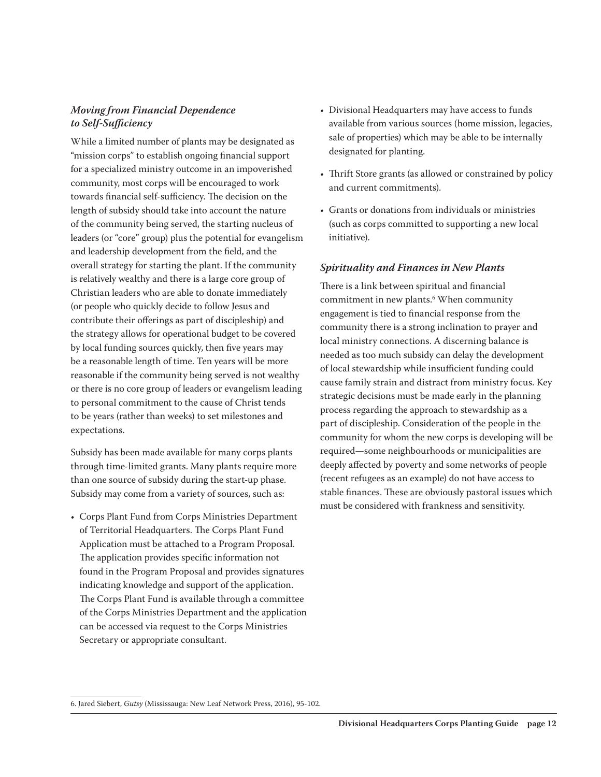#### *Moving from Financial Dependence to Self-Sufficiency*

While a limited number of plants may be designated as "mission corps" to establish ongoing financial support for a specialized ministry outcome in an impoverished community, most corps will be encouraged to work towards financial self-sufficiency. The decision on the length of subsidy should take into account the nature of the community being served, the starting nucleus of leaders (or "core" group) plus the potential for evangelism and leadership development from the field, and the overall strategy for starting the plant. If the community is relatively wealthy and there is a large core group of Christian leaders who are able to donate immediately (or people who quickly decide to follow Jesus and contribute their offerings as part of discipleship) and the strategy allows for operational budget to be covered by local funding sources quickly, then five years may be a reasonable length of time. Ten years will be more reasonable if the community being served is not wealthy or there is no core group of leaders or evangelism leading to personal commitment to the cause of Christ tends to be years (rather than weeks) to set milestones and expectations.

Subsidy has been made available for many corps plants through time-limited grants. Many plants require more than one source of subsidy during the start-up phase. Subsidy may come from a variety of sources, such as:

• Corps Plant Fund from Corps Ministries Department of Territorial Headquarters. The Corps Plant Fund Application must be attached to a Program Proposal. The application provides specific information not found in the Program Proposal and provides signatures indicating knowledge and support of the application. The Corps Plant Fund is available through a committee of the Corps Ministries Department and the application can be accessed via request to the Corps Ministries Secretary or appropriate consultant.

- Divisional Headquarters may have access to funds available from various sources (home mission, legacies, sale of properties) which may be able to be internally designated for planting.
- Thrift Store grants (as allowed or constrained by policy and current commitments).
- Grants or donations from individuals or ministries (such as corps committed to supporting a new local initiative).

#### *Spirituality and Finances in New Plants*

There is a link between spiritual and financial commitment in new plants.6 When community engagement is tied to financial response from the community there is a strong inclination to prayer and local ministry connections. A discerning balance is needed as too much subsidy can delay the development of local stewardship while insufficient funding could cause family strain and distract from ministry focus. Key strategic decisions must be made early in the planning process regarding the approach to stewardship as a part of discipleship. Consideration of the people in the community for whom the new corps is developing will be required—some neighbourhoods or municipalities are deeply affected by poverty and some networks of people (recent refugees as an example) do not have access to stable finances. These are obviously pastoral issues which must be considered with frankness and sensitivity.

<sup>6.</sup> Jared Siebert, *Gutsy* (Mississauga: New Leaf Network Press, 2016), 95-102.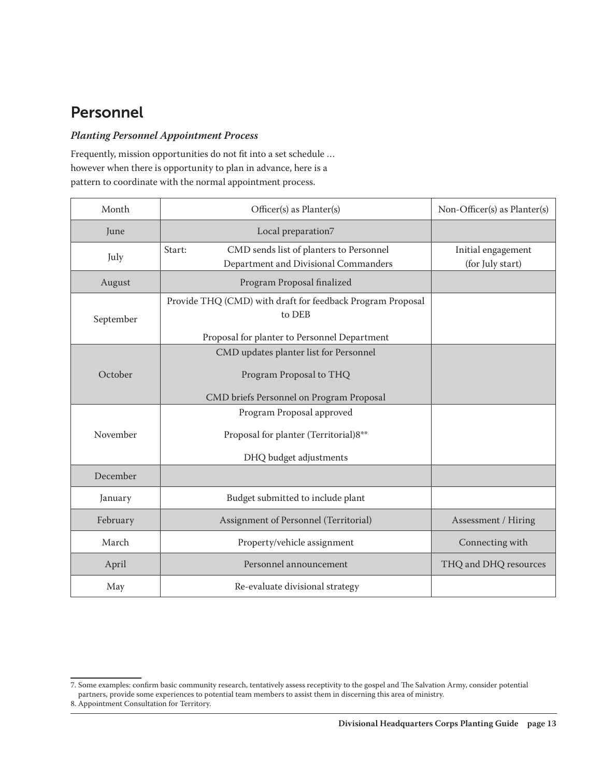# Personnel

#### *Planting Personnel Appointment Process*

Frequently, mission opportunities do not fit into a set schedule … however when there is opportunity to plan in advance, here is a pattern to coordinate with the normal appointment process.

| Month                                                                                                                             | Officer(s) as Planter(s)                                                                  | Non-Officer(s) as Planter(s)           |
|-----------------------------------------------------------------------------------------------------------------------------------|-------------------------------------------------------------------------------------------|----------------------------------------|
| June                                                                                                                              | Local preparation7                                                                        |                                        |
| July                                                                                                                              | CMD sends list of planters to Personnel<br>Start:<br>Department and Divisional Commanders | Initial engagement<br>(for July start) |
| August                                                                                                                            | Program Proposal finalized                                                                |                                        |
| Provide THQ (CMD) with draft for feedback Program Proposal<br>to DEB<br>September<br>Proposal for planter to Personnel Department |                                                                                           |                                        |
|                                                                                                                                   | CMD updates planter list for Personnel                                                    |                                        |
| October                                                                                                                           | Program Proposal to THQ                                                                   |                                        |
|                                                                                                                                   | CMD briefs Personnel on Program Proposal                                                  |                                        |
| November                                                                                                                          | Program Proposal approved                                                                 |                                        |
|                                                                                                                                   | Proposal for planter (Territorial)8**                                                     |                                        |
|                                                                                                                                   | DHQ budget adjustments                                                                    |                                        |
| December                                                                                                                          |                                                                                           |                                        |
| January                                                                                                                           | Budget submitted to include plant                                                         |                                        |
| February                                                                                                                          | Assignment of Personnel (Territorial)                                                     | Assessment / Hiring                    |
| March                                                                                                                             | Property/vehicle assignment                                                               | Connecting with                        |
| April                                                                                                                             | Personnel announcement                                                                    | THQ and DHQ resources                  |
| May                                                                                                                               | Re-evaluate divisional strategy                                                           |                                        |

<sup>7.</sup> Some examples: confirm basic community research, tentatively assess receptivity to the gospel and The Salvation Army, consider potential partners, provide some experiences to potential team members to assist them in discerning this area of ministry.

<sup>8.</sup> Appointment Consultation for Territory.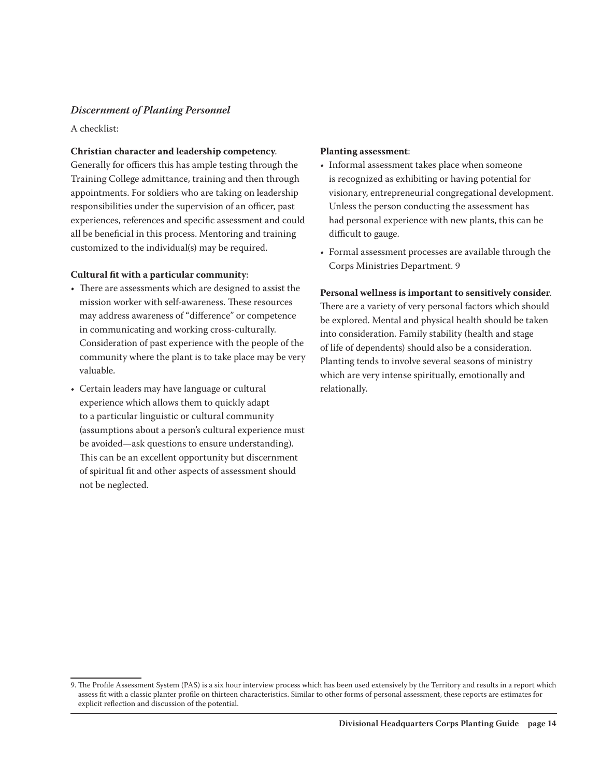#### *Discernment of Planting Personnel*

A checklist:

#### **Christian character and leadership competency**.

Generally for officers this has ample testing through the Training College admittance, training and then through appointments. For soldiers who are taking on leadership responsibilities under the supervision of an officer, past experiences, references and specific assessment and could all be beneficial in this process. Mentoring and training customized to the individual(s) may be required.

#### **Cultural fit with a particular community**:

- There are assessments which are designed to assist the mission worker with self-awareness. These resources may address awareness of "difference" or competence in communicating and working cross-culturally. Consideration of past experience with the people of the community where the plant is to take place may be very valuable.
- Certain leaders may have language or cultural experience which allows them to quickly adapt to a particular linguistic or cultural community (assumptions about a person's cultural experience must be avoided—ask questions to ensure understanding). This can be an excellent opportunity but discernment of spiritual fit and other aspects of assessment should not be neglected.

#### **Planting assessment**:

- Informal assessment takes place when someone is recognized as exhibiting or having potential for visionary, entrepreneurial congregational development. Unless the person conducting the assessment has had personal experience with new plants, this can be difficult to gauge.
- Formal assessment processes are available through the Corps Ministries Department. 9

**Personal wellness is important to sensitively consider**. There are a variety of very personal factors which should be explored. Mental and physical health should be taken into consideration. Family stability (health and stage of life of dependents) should also be a consideration. Planting tends to involve several seasons of ministry which are very intense spiritually, emotionally and relationally.

<sup>9.</sup> The Profile Assessment System (PAS) is a six hour interview process which has been used extensively by the Territory and results in a report which assess fit with a classic planter profile on thirteen characteristics. Similar to other forms of personal assessment, these reports are estimates for explicit reflection and discussion of the potential.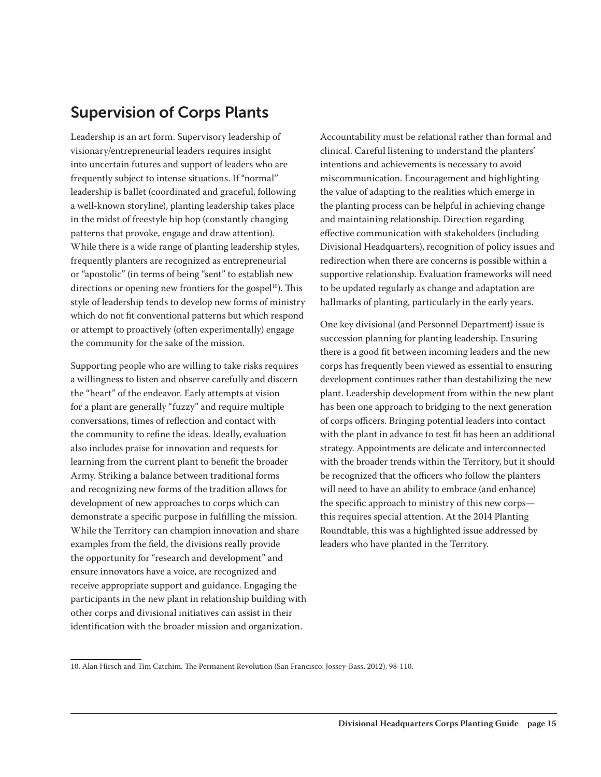# Supervision of Corps Plants

Leadership is an art form. Supervisory leadership of visionary/entrepreneurial leaders requires insight into uncertain futures and support of leaders who are frequently subject to intense situations. If "normal" leadership is ballet (coordinated and graceful, following a well-known storyline), planting leadership takes place in the midst of freestyle hip hop (constantly changing patterns that provoke, engage and draw attention). While there is a wide range of planting leadership styles, frequently planters are recognized as entrepreneurial or "apostolic" (in terms of being "sent" to establish new directions or opening new frontiers for the gospel $10$ ). This style of leadership tends to develop new forms of ministry which do not fit conventional patterns but which respond or attempt to proactively (often experimentally) engage the community for the sake of the mission.

Supporting people who are willing to take risks requires a willingness to listen and observe carefully and discern the "heart" of the endeavor. Early attempts at vision for a plant are generally "fuzzy" and require multiple conversations, times of reflection and contact with the community to refine the ideas. Ideally, evaluation also includes praise for innovation and requests for learning from the current plant to benefit the broader Army. Striking a balance between traditional forms and recognizing new forms of the tradition allows for development of new approaches to corps which can demonstrate a specific purpose in fulfilling the mission. While the Territory can champion innovation and share examples from the field, the divisions really provide the opportunity for "research and development" and ensure innovators have a voice, are recognized and receive appropriate support and guidance. Engaging the participants in the new plant in relationship building with other corps and divisional initiatives can assist in their identification with the broader mission and organization.

Accountability must be relational rather than formal and clinical. Careful listening to understand the planters' intentions and achievements is necessary to avoid miscommunication. Encouragement and highlighting the value of adapting to the realities which emerge in the planting process can be helpful in achieving change and maintaining relationship. Direction regarding effective communication with stakeholders (including Divisional Headquarters), recognition of policy issues and redirection when there are concerns is possible within a supportive relationship. Evaluation frameworks will need to be updated regularly as change and adaptation are hallmarks of planting, particularly in the early years.

One key divisional (and Personnel Department) issue is succession planning for planting leadership. Ensuring there is a good fit between incoming leaders and the new corps has frequently been viewed as essential to ensuring development continues rather than destabilizing the new plant. Leadership development from within the new plant has been one approach to bridging to the next generation of corps officers. Bringing potential leaders into contact with the plant in advance to test fit has been an additional strategy. Appointments are delicate and interconnected with the broader trends within the Territory, but it should be recognized that the officers who follow the planters will need to have an ability to embrace (and enhance) the specific approach to ministry of this new corps this requires special attention. At the 2014 Planting Roundtable, this was a highlighted issue addressed by leaders who have planted in the Territory.

<sup>10.</sup> Alan Hirsch and Tim Catchim. The Permanent Revolution (San Francisco: Jossey-Bass, 2012), 98-110.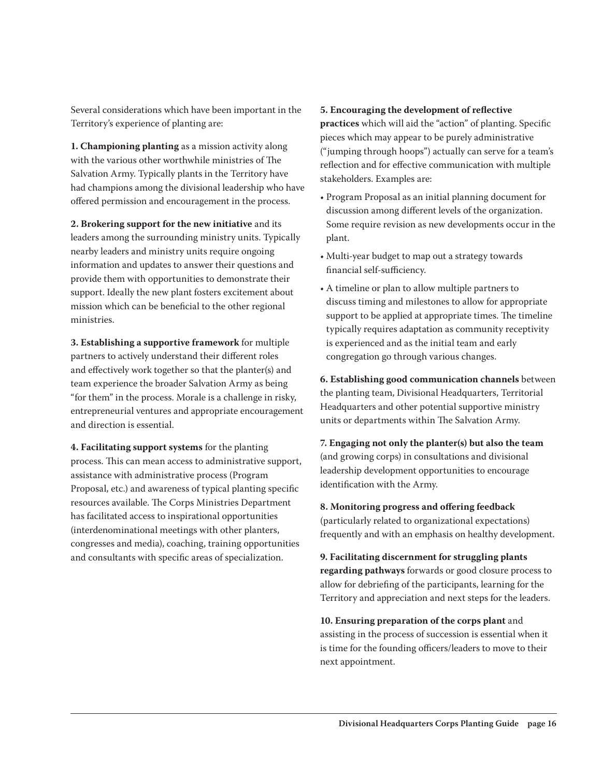Several considerations which have been important in the Territory's experience of planting are:

**1. Championing planting** as a mission activity along with the various other worthwhile ministries of The Salvation Army. Typically plants in the Territory have had champions among the divisional leadership who have offered permission and encouragement in the process.

**2. Brokering support for the new initiative** and its leaders among the surrounding ministry units. Typically nearby leaders and ministry units require ongoing information and updates to answer their questions and provide them with opportunities to demonstrate their support. Ideally the new plant fosters excitement about mission which can be beneficial to the other regional ministries.

**3. Establishing a supportive framework** for multiple partners to actively understand their different roles and effectively work together so that the planter(s) and team experience the broader Salvation Army as being "for them" in the process. Morale is a challenge in risky, entrepreneurial ventures and appropriate encouragement and direction is essential.

**4. Facilitating support systems** for the planting process. This can mean access to administrative support, assistance with administrative process (Program Proposal, etc.) and awareness of typical planting specific resources available. The Corps Ministries Department has facilitated access to inspirational opportunities (interdenominational meetings with other planters, congresses and media), coaching, training opportunities and consultants with specific areas of specialization.

#### **5. Encouraging the development of reflective**

**practices** which will aid the "action" of planting. Specific pieces which may appear to be purely administrative ("jumping through hoops") actually can serve for a team's reflection and for effective communication with multiple stakeholders. Examples are:

- Program Proposal as an initial planning document for discussion among different levels of the organization. Some require revision as new developments occur in the plant.
- Multi-year budget to map out a strategy towards financial self-sufficiency.
- A timeline or plan to allow multiple partners to discuss timing and milestones to allow for appropriate support to be applied at appropriate times. The timeline typically requires adaptation as community receptivity is experienced and as the initial team and early congregation go through various changes.

**6. Establishing good communication channels** between the planting team, Divisional Headquarters, Territorial Headquarters and other potential supportive ministry units or departments within The Salvation Army.

**7. Engaging not only the planter(s) but also the team** (and growing corps) in consultations and divisional leadership development opportunities to encourage identification with the Army.

**8. Monitoring progress and offering feedback**

(particularly related to organizational expectations) frequently and with an emphasis on healthy development.

**9. Facilitating discernment for struggling plants regarding pathways** forwards or good closure process to allow for debriefing of the participants, learning for the Territory and appreciation and next steps for the leaders.

**10. Ensuring preparation of the corps plant** and assisting in the process of succession is essential when it is time for the founding officers/leaders to move to their next appointment.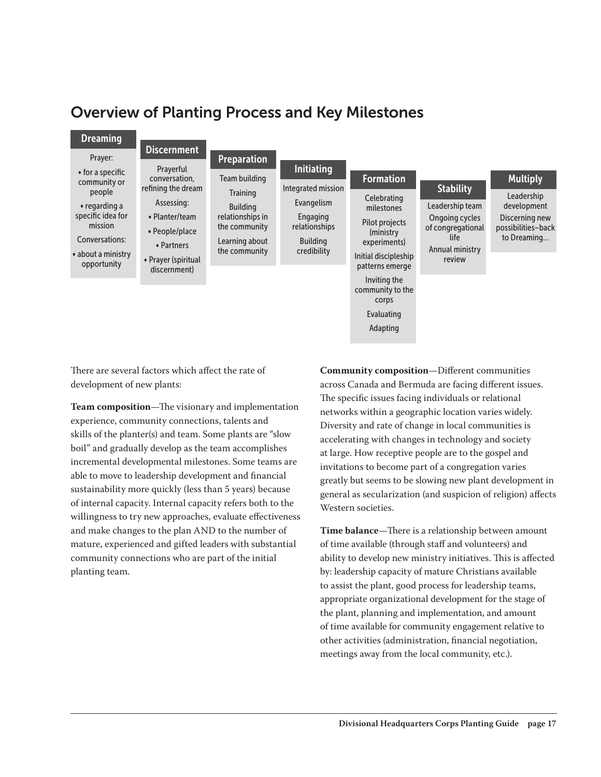### Overview of Planting Process and Key Milestones



There are several factors which affect the rate of development of new plants:

**Team composition**—The visionary and implementation experience, community connections, talents and skills of the planter(s) and team. Some plants are "slow boil" and gradually develop as the team accomplishes incremental developmental milestones. Some teams are able to move to leadership development and financial sustainability more quickly (less than 5 years) because of internal capacity. Internal capacity refers both to the willingness to try new approaches, evaluate effectiveness and make changes to the plan AND to the number of mature, experienced and gifted leaders with substantial community connections who are part of the initial planting team.

**Community composition**—Different communities across Canada and Bermuda are facing different issues. The specific issues facing individuals or relational networks within a geographic location varies widely. Diversity and rate of change in local communities is accelerating with changes in technology and society at large. How receptive people are to the gospel and invitations to become part of a congregation varies greatly but seems to be slowing new plant development in general as secularization (and suspicion of religion) affects Western societies.

**Time balance**—There is a relationship between amount of time available (through staff and volunteers) and ability to develop new ministry initiatives. This is affected by: leadership capacity of mature Christians available to assist the plant, good process for leadership teams, appropriate organizational development for the stage of the plant, planning and implementation, and amount of time available for community engagement relative to other activities (administration, financial negotiation, meetings away from the local community, etc.).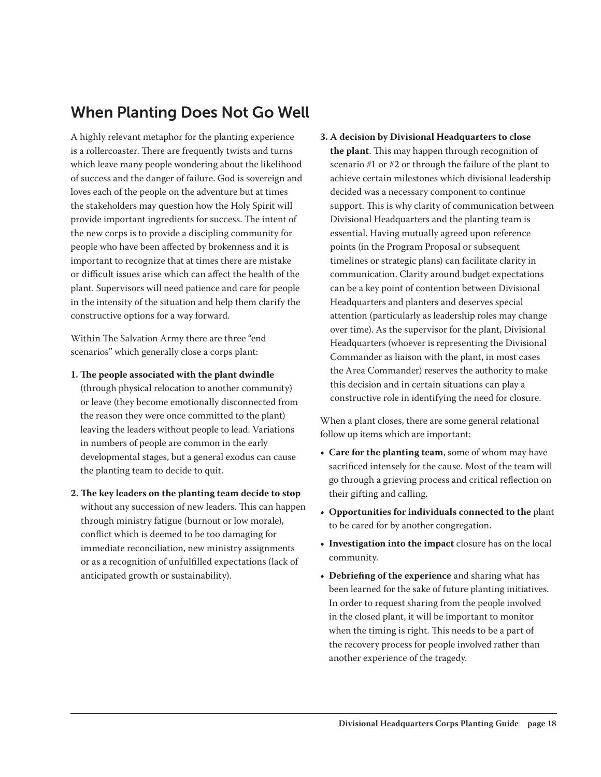### When Planting Does Not Go Well

A highly relevant metaphor for the planting experience is a rollercoaster. There are frequently twists and turns which leave many people wondering about the likelihood of success and the danger of failure. God is sovereign and loves each of the people on the adventure but at times the stakeholders may question how the Holy Spirit will provide important ingredients for success. The intent of the new corps is to provide a discipling community for people who have been affected by brokenness and it is important to recognize that at times there are mistake or difficult issues arise which can affect the health of the plant. Supervisors will need patience and care for people in the intensity of the situation and help them clarify the constructive options for a way forward.

Within The Salvation Army there are three "end scenarios" which generally close a corps plant:

**1. The people associated with the plant dwindle** (through physical relocation to another community)

or leave (they become emotionally disconnected from the reason they were once committed to the plant) leaving the leaders without people to lead. Variations in numbers of people are common in the early developmental stages, but a general exodus can cause the planting team to decide to quit.

**2. The key leaders on the planting team decide to stop** without any succession of new leaders. This can happen through ministry fatigue (burnout or low morale), conflict which is deemed to be too damaging for immediate reconciliation, new ministry assignments or as a recognition of unfulfilled expectations (lack of anticipated growth or sustainability).

**3. A decision by Divisional Headquarters to close the plant**. This may happen through recognition of scenario #1 or #2 or through the failure of the plant to achieve certain milestones which divisional leadership decided was a necessary component to continue support. This is why clarity of communication between Divisional Headquarters and the planting team is essential. Having mutually agreed upon reference points (in the Program Proposal or subsequent timelines or strategic plans) can facilitate clarity in communication. Clarity around budget expectations can be a key point of contention between Divisional Headquarters and planters and deserves special attention (particularly as leadership roles may change over time). As the supervisor for the plant, Divisional Headquarters (whoever is representing the Divisional Commander as liaison with the plant, in most cases the Area Commander) reserves the authority to make this decision and in certain situations can play a constructive role in identifying the need for closure.

When a plant closes, there are some general relational follow up items which are important:

- **• Care for the planting team**, some of whom may have sacrificed intensely for the cause. Most of the team will go through a grieving process and critical reflection on their gifting and calling.
- **• Opportunities for individuals connected to the** plant to be cared for by another congregation.
- **• Investigation into the impact** closure has on the local community.
- **• Debriefing of the experience** and sharing what has been learned for the sake of future planting initiatives. In order to request sharing from the people involved in the closed plant, it will be important to monitor when the timing is right. This needs to be a part of the recovery process for people involved rather than another experience of the tragedy.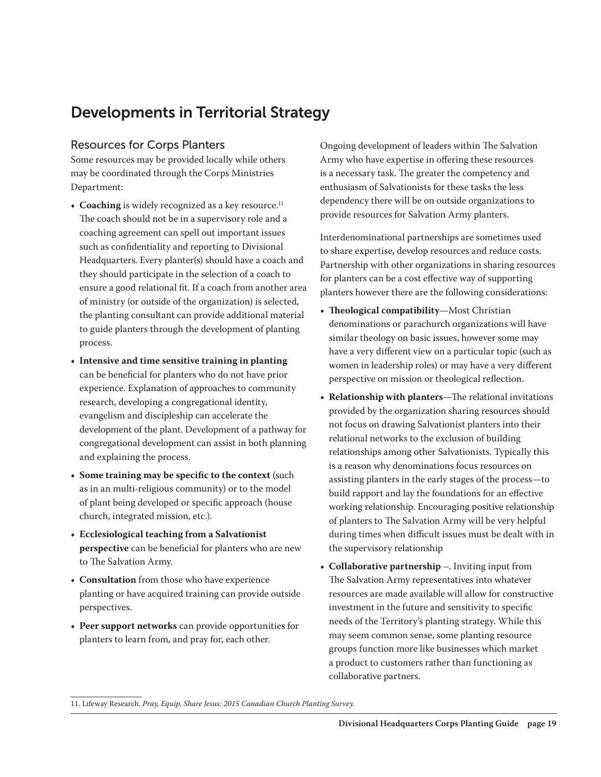# Developments in Territorial Strategy

#### Resources for Corps Planters

Some resources may be provided locally while others may be coordinated through the Corps Ministries Department:

- **Coaching** is widely recognized as a key resource.<sup>11</sup> The coach should not be in a supervisory role and a coaching agreement can spell out important issues such as confidentiality and reporting to Divisional Headquarters. Every planter(s) should have a coach and they should participate in the selection of a coach to ensure a good relational fit. If a coach from another area of ministry (or outside of the organization) is selected, the planting consultant can provide additional material to guide planters through the development of planting process.
- **• Intensive and time sensitive training in planting** can be beneficial for planters who do not have prior experience. Explanation of approaches to community research, developing a congregational identity, evangelism and discipleship can accelerate the development of the plant. Development of a pathway for congregational development can assist in both planning and explaining the process.
- **• Some training may be specific to the context** (such as in an multi-religious community) or to the model of plant being developed or specific approach (house church, integrated mission, etc.).
- **• Ecclesiological teaching from a Salvationist perspective** can be beneficial for planters who are new to The Salvation Army.
- **• Consultation** from those who have experience planting or have acquired training can provide outside perspectives.
- **• Peer support networks** can provide opportunities for planters to learn from, and pray for, each other.

Ongoing development of leaders within The Salvation Army who have expertise in offering these resources is a necessary task. The greater the competency and enthusiasm of Salvationists for these tasks the less dependency there will be on outside organizations to provide resources for Salvation Army planters.

Interdenominational partnerships are sometimes used to share expertise, develop resources and reduce costs. Partnership with other organizations in sharing resources for planters can be a cost effective way of supporting planters however there are the following considerations:

- **• Theological compatibility**—Most Christian denominations or parachurch organizations will have similar theology on basic issues, however some may have a very different view on a particular topic (such as women in leadership roles) or may have a very different perspective on mission or theological reflection.
- **• Relationship with planters**—The relational invitations provided by the organization sharing resources should not focus on drawing Salvationist planters into their relational networks to the exclusion of building relationships among other Salvationists. Typically this is a reason why denominations focus resources on assisting planters in the early stages of the process—to build rapport and lay the foundations for an effective working relationship. Encouraging positive relationship of planters to The Salvation Army will be very helpful during times when difficult issues must be dealt with in the supervisory relationship
- **• Collaborative partnership** –. Inviting input from The Salvation Army representatives into whatever resources are made available will allow for constructive investment in the future and sensitivity to specific needs of the Territory's planting strategy. While this may seem common sense, some planting resource groups function more like businesses which market a product to customers rather than functioning as collaborative partners.

11. Lifeway Research. *Pray, Equip, Share Jesus: 2015 Canadian Church Planting Survey.*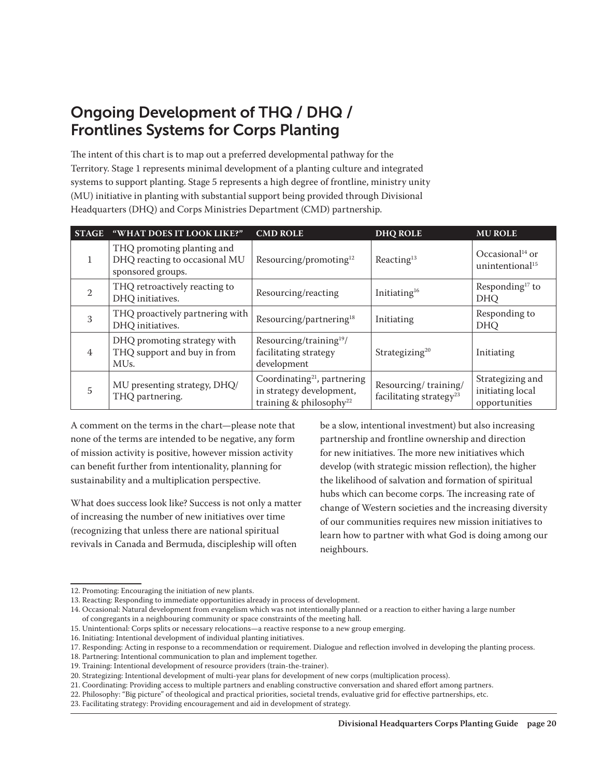# Ongoing Development of THQ / DHQ / Frontlines Systems for Corps Planting

The intent of this chart is to map out a preferred developmental pathway for the Territory. Stage 1 represents minimal development of a planting culture and integrated systems to support planting. Stage 5 represents a high degree of frontline, ministry unity (MU) initiative in planting with substantial support being provided through Divisional Headquarters (DHQ) and Corps Ministries Department (CMD) partnership.

| <b>STAGE</b>   | "WHAT DOES IT LOOK LIKE?"                                                        | <b>CMD ROLE</b>                                                                                            | <b>DHQ ROLE</b>                                             | <b>MU ROLE</b>                                             |
|----------------|----------------------------------------------------------------------------------|------------------------------------------------------------------------------------------------------------|-------------------------------------------------------------|------------------------------------------------------------|
|                | THQ promoting planting and<br>DHQ reacting to occasional MU<br>sponsored groups. | Resourcing/promoting <sup>12</sup>                                                                         | Reacting <sup>13</sup>                                      | Occasional <sup>14</sup> or<br>unintentional <sup>15</sup> |
| 2              | THQ retroactively reacting to<br>DHQ initiatives.                                | Resourcing/reacting                                                                                        | Initiating <sup>16</sup>                                    | Responding <sup>17</sup> to<br><b>DHQ</b>                  |
| 3              | THQ proactively partnering with<br>DHQ initiatives.                              | Resourcing/partnering <sup>18</sup>                                                                        | Initiating                                                  | Responding to<br><b>DHQ</b>                                |
| 4              | DHQ promoting strategy with<br>THQ support and buy in from<br>MU <sub>s</sub> .  | Resourcing/training <sup>19</sup> /<br>facilitating strategy<br>development                                | Strategizing <sup>20</sup>                                  | Initiating                                                 |
| $\overline{5}$ | MU presenting strategy, DHQ/<br>THQ partnering.                                  | Coordinating <sup>21</sup> , partnering<br>in strategy development,<br>training & philosophy <sup>22</sup> | Resourcing/training/<br>facilitating strategy <sup>23</sup> | Strategizing and<br>initiating local<br>opportunities      |

A comment on the terms in the chart—please note that none of the terms are intended to be negative, any form of mission activity is positive, however mission activity can benefit further from intentionality, planning for sustainability and a multiplication perspective.

What does success look like? Success is not only a matter of increasing the number of new initiatives over time (recognizing that unless there are national spiritual revivals in Canada and Bermuda, discipleship will often

be a slow, intentional investment) but also increasing partnership and frontline ownership and direction for new initiatives. The more new initiatives which develop (with strategic mission reflection), the higher the likelihood of salvation and formation of spiritual hubs which can become corps. The increasing rate of change of Western societies and the increasing diversity of our communities requires new mission initiatives to learn how to partner with what God is doing among our neighbours.

<sup>12.</sup> Promoting: Encouraging the initiation of new plants.

<sup>13.</sup> Reacting: Responding to immediate opportunities already in process of development.

<sup>14.</sup> Occasional: Natural development from evangelism which was not intentionally planned or a reaction to either having a large number

of congregants in a neighbouring community or space constraints of the meeting hall.

<sup>15.</sup> Unintentional: Corps splits or necessary relocations—a reactive response to a new group emerging.

<sup>16.</sup> Initiating: Intentional development of individual planting initiatives.

<sup>17.</sup> Responding: Acting in response to a recommendation or requirement. Dialogue and reflection involved in developing the planting process.

<sup>18.</sup> Partnering: Intentional communication to plan and implement together.

<sup>19.</sup> Training: Intentional development of resource providers (train-the-trainer).

<sup>20.</sup> Strategizing: Intentional development of multi-year plans for development of new corps (multiplication process).

<sup>21.</sup> Coordinating: Providing access to multiple partners and enabling constructive conversation and shared effort among partners.

<sup>22.</sup> Philosophy: "Big picture" of theological and practical priorities, societal trends, evaluative grid for effective partnerships, etc.

<sup>23.</sup> Facilitating strategy: Providing encouragement and aid in development of strategy.